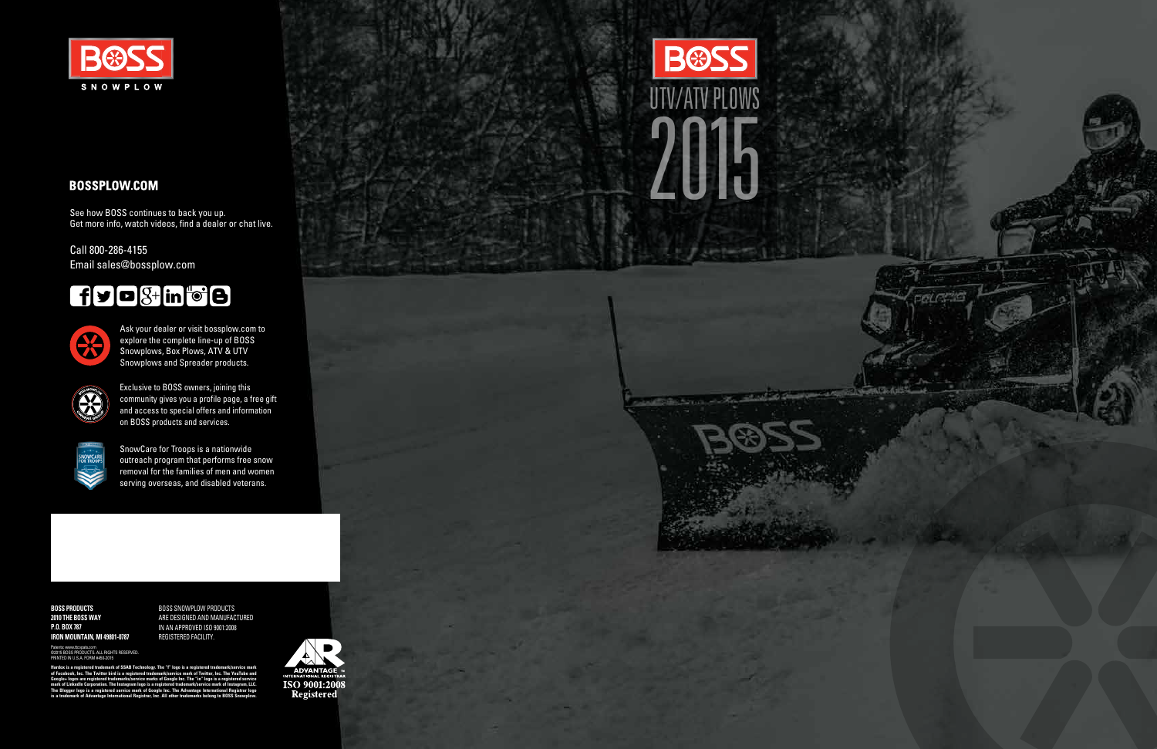

# **BOSSPLOW.COM**

**BOSS PRODUCTS 2010 THE BOSS WAY P.O. BOX 787 IRON MOUNTAIN, MI 49801-0787**

PRINTED IN U.S.A. FORM #450-2015 d trademark of SSAB Technology. The "f" logo is a registered trademark/servic<br>· Twitter bird is a registered trademark/service mark of Twitter, Inc. The YouTu **of Facebook, Inc. The Twitter bird is a reg Google+ logos are registered trademarks/service marks of Google Inc. The "in" logo is a registered service mark of LinkedIn Corporation. The Instagram logo is a registered trademark/service mark of Instagram, LLC.**   $\bar{\mathbf{h}}$  be the Advantager is a register

BOSS SNOWPLOW PRODUCTS ARE DESIGNED AND MANUFACTURED IN AN APPROVED ISO 9001:2008 REGISTERED FACILITY.

Patents: www.ttcopats.com ©2015 BOSS PRODUCTS. ALL RIGHTS RESERVED.

**is a trademark of Advantage International Registrar, Inc. All other trademarks belong to BOSS Snowplow.**



**BOSS** UTV/ATV PLOWS2015

**SECTION** 



SnowCare for Troops is a nationwide outreach program that performs free snow removal for the families of men and women serving overseas, and disabled veterans.

Exclusive to BOSS owners, joining this community gives you a profile page, a free gift and access to special offers and information on BOSS products and services.



See how BOSS continues to back you up. Get more info, watch videos, find a dealer or chat live.

Call 800-286-4155 Email sales@bossplow.com

# $f$  $g$  $o$  $g$  $+$  $in$  $o$  $o$  $o$



Ask your dealer or visit bossplow.com to explore the complete line-up of BOSS Snowplows, Box Plows, ATV & UTV Snowplows and Spreader products.

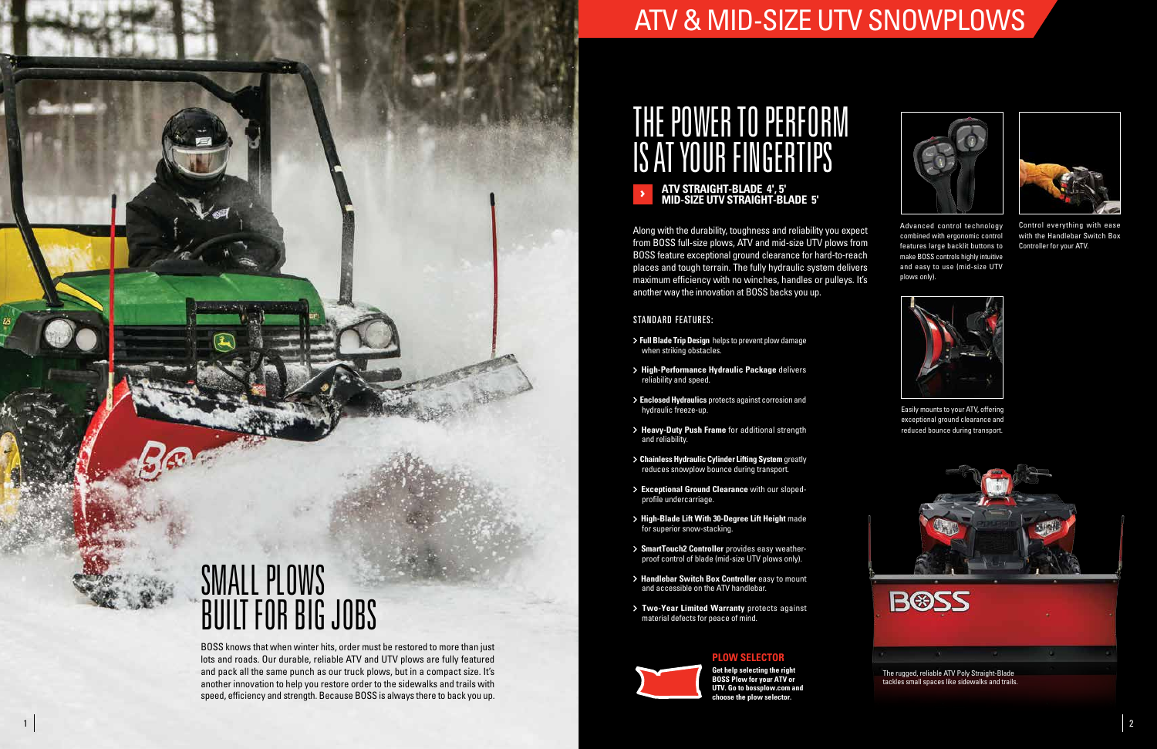

# ATV & MID-SIZE UTV SNOWPLOWS

# THE POWER TO PERFORM IS AT YOUR FINGERTIPS

### **ATV STRAIGHT-BLADE 4', 5' MID-SIZE UTV STRAIGHT-BLADE 5'**

Along with the durability, toughness and reliability you expect from BOSS full-size plows, ATV and mid-size UTV plows from BOSS feature exceptional ground clearance for hard-to-reach places and tough terrain. The fully hydraulic system delivers maximum efficiency with no winches, handles or pulleys. It's another way the innovation at BOSS backs you up.



## STANDARD FEATURES:

- **Full Blade Trip Design** helps to prevent plow damage when striking obstacles.
- **High-Performance Hydraulic Package** delivers reliability and speed.
- **Enclosed Hydraulics** protects against corrosion and hydraulic freeze-up.
- **Heavy-Duty Push Frame** for additional strength and reliability.
- **Chainless Hydraulic Cylinder Lifting System** greatly reduces snowplow bounce during transport.
- **Exceptional Ground Clearance** with our slopedprofile undercarriage.
- **High-Blade Lift With 30-Degree Lift Height** made for superior snow-stacking.
- **SmartTouch2 Controller** provides easy weatherproof control of blade (mid-size UTV plows only).
- **Handlebar Switch Box Controller** easy to mount and accessible on the ATV handlebar.
- **Two-Year Limited Warranty** protects against material defects for peace of mind.

**Get help selecting the right BOSS Plow for your ATV or UTV. Go to bossplow.com and choose the plow selector.**

# **PLOW SELECTOR**





Easily mounts to your ATV, offering exceptional ground clearance and reduced bounce during transport.

Advanced control technology combined with ergonomic control features large backlit buttons to make BOSS controls highly intuitive and easy to use (mid-size UTV plows only).



Control everything with ease with the Handlebar Switch Box Controller for your ATV.

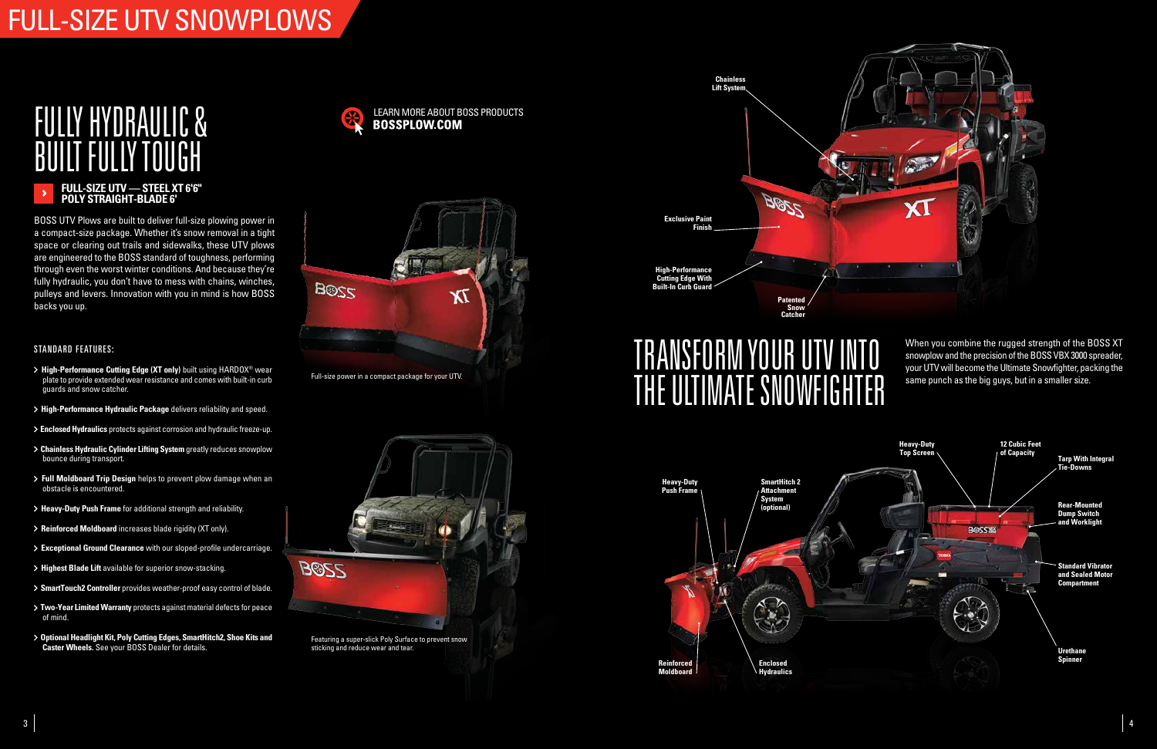# FULL-SIZE UTV SNOWPLOWS

# FULLY HYDRAULIC & BUILT FULLY TOUGH

# TRANSFORM YOUR UTV INTO THE ULTIMATE SNOWFIGHTER

# **FULL-SIZE UTV — STEEL XT 6'6" POLY STRAIGHT-BLADE 6'**

BOSS UTV Plows are built to deliver full-size plowing power in a compact-size package. Whether it's snow removal in a tight space or clearing out trails and sidewalks, these UTV plows are engineered to the BOSS standard of toughness, performing through even the worst winter conditions. And because they're fully hydraulic, you don't have to mess with chains, winches, pulleys and levers. Innovation with you in mind is how BOSS backs you up.

> When you combine the rugged strength of the BOSS XT snowplow and the precision of the BOSS VBX 3000 spreader, your UTV will become the Ultimate Snowfighter, packing the same punch as the big guys, but in a smaller size.

# STANDARD FEATURES:

- **> High-Performance Cutting Edge (XT only)** built using HARDOX<sup>®</sup> wear plate to provide extended wear resistance and comes with built-in curb guards and snow catcher.
- **High-Performance Hydraulic Package** delivers reliability and speed.
- **Enclosed Hydraulics** protects against corrosion and hydraulic freeze-up.
- **Chainless Hydraulic Cylinder Lifting System** greatly reduces snowplow bounce during transport.
- **Full Moldboard Trip Design** helps to prevent plow damage when an obstacle is encountered.
- **Heavy-Duty Push Frame** for additional strength and reliability.
- **Reinforced Moldboard** increases blade rigidity (XT only).
- **Exceptional Ground Clearance** with our sloped-profile undercarriage.
- **Highest Blade Lift** available for superior snow-stacking.
- **SmartTouch2 Controller** provides weather-proof easy control of blade.
- **Two-Year Limited Warranty** protects against material defects for peace of mind.
- **Optional Headlight Kit, Poly Cutting Edges, SmartHitch2, Shoe Kits and Caster Wheels.** See your BOSS Dealer for details.









Full-size power in a compact package for your UTV.



Featuring a super-slick Poly Surface to prevent snow sticking and reduce wear and tear.